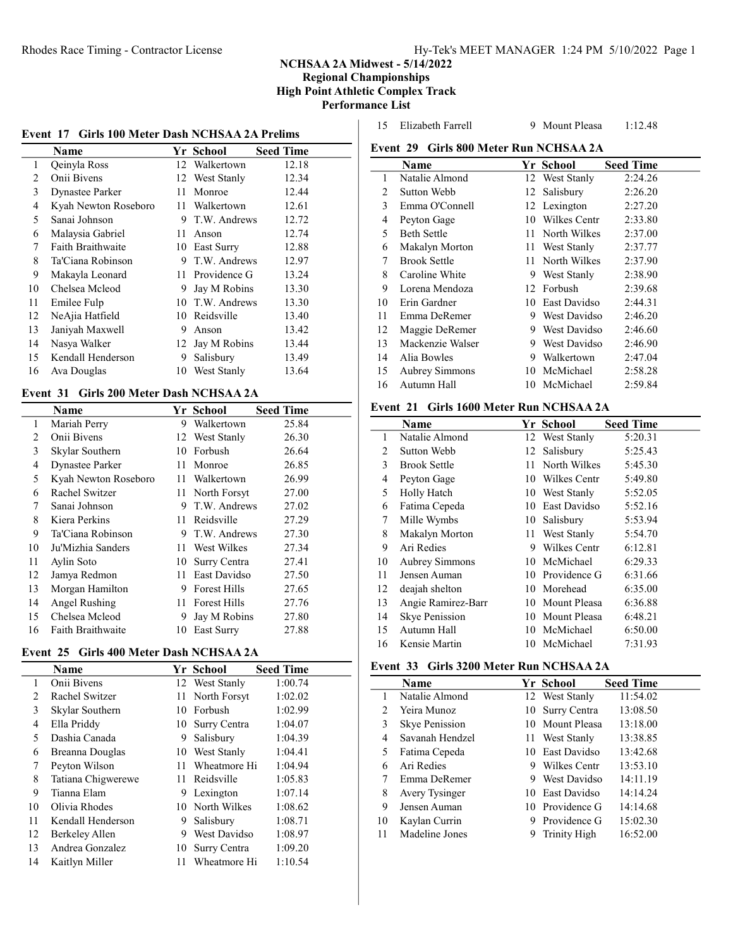# NCHSAA 2A Midwest - 5/14/2022

Regional Championships High Point Athletic Complex Track Performance List

|  |  |  |  |  |  | Event 17 Girls 100 Meter Dash NCHSAA 2A Prelims |  |  |
|--|--|--|--|--|--|-------------------------------------------------|--|--|
|--|--|--|--|--|--|-------------------------------------------------|--|--|

|                | Name                     |    | Yr School      | <b>Seed Time</b> |
|----------------|--------------------------|----|----------------|------------------|
| 1              | Qeinyla Ross             | 12 | Walkertown     | 12.18            |
| 2              | Onii Bivens              |    | 12 West Stanly | 12.34            |
| 3              | <b>Dynastee Parker</b>   | 11 | Monroe         | 12.44            |
| $\overline{4}$ | Kyah Newton Roseboro     | 11 | Walkertown     | 12.61            |
| 5              | Sanai Johnson            | 9  | T.W. Andrews   | 12.72            |
| 6              | Malaysia Gabriel         | 11 | Anson          | 12.74            |
| 7              | <b>Faith Braithwaite</b> | 10 | East Surry     | 12.88            |
| 8              | Ta'Ciana Robinson        | 9  | T.W. Andrews   | 12.97            |
| 9              | Makayla Leonard          | 11 | Providence G   | 13.24            |
| 10             | Chelsea Mcleod           | 9  | Jay M Robins   | 13.30            |
| 11             | Emilee Fulp              | 10 | T.W. Andrews   | 13.30            |
| 12             | NeAjia Hatfield          | 10 | Reidsville     | 13.40            |
| 13             | Janiyah Maxwell          | 9  | Anson          | 13.42            |
| 14             | Nasya Walker             | 12 | Jay M Robins   | 13.44            |
| 15             | Kendall Henderson        | 9  | Salisbury      | 13.49            |
| 16             | Ava Douglas              | 10 | West Stanly    | 13.64            |

#### Event 31 Girls 200 Meter Dash NCHSAA 2A

|    | Name                 |    | Yr School           | <b>Seed Time</b> |
|----|----------------------|----|---------------------|------------------|
| 1  | Mariah Perry         | 9  | Walkertown          | 25.84            |
| 2  | Onii Bivens          |    | 12 West Stanly      | 26.30            |
| 3  | Skylar Southern      | 10 | Forbush             | 26.64            |
| 4  | Dynastee Parker      | 11 | Monroe              | 26.85            |
| 5  | Kyah Newton Roseboro | 11 | Walkertown          | 26.99            |
| 6  | Rachel Switzer       | 11 | North Forsyt        | 27.00            |
| 7  | Sanai Johnson        | 9  | T.W. Andrews        | 27.02            |
| 8  | Kiera Perkins        | 11 | Reidsville          | 27.29            |
| 9  | Ta'Ciana Robinson    | 9  | T.W. Andrews        | 27.30            |
| 10 | Ju'Mizhia Sanders    | 11 | West Wilkes         | 27.34            |
| 11 | Aylin Soto           | 10 | Surry Centra        | 27.41            |
| 12 | Jamya Redmon         | 11 | East Davidso        | 27.50            |
| 13 | Morgan Hamilton      | 9  | <b>Forest Hills</b> | 27.65            |
| 14 | Angel Rushing        | 11 | <b>Forest Hills</b> | 27.76            |
| 15 | Chelsea Mcleod       | 9  | Jay M Robins        | 27.80            |
| 16 | Faith Braithwaite    | 10 | East Surry          | 27.88            |

# Event 25 Girls 400 Meter Dash NCHSAA 2A

|                | Name               |     | Yr School       | <b>Seed Time</b> |
|----------------|--------------------|-----|-----------------|------------------|
| 1              | Onii Bivens        |     | 12 West Stanly  | 1:00.74          |
| $\overline{c}$ | Rachel Switzer     |     | 11 North Forsyt | 1:02.02          |
| 3              | Skylar Southern    |     | 10 Forbush      | 1:02.99          |
| 4              | Ella Priddy        | 10- | Surry Centra    | 1:04.07          |
| 5              | Dashia Canada      | 9   | Salisbury       | 1:04.39          |
| 6              | Breanna Douglas    |     | 10 West Stanly  | 1:04.41          |
| 7              | Peyton Wilson      | 11  | Wheatmore Hi    | 1:04.94          |
| 8              | Tatiana Chigwerewe | 11  | Reidsville      | 1:05.83          |
| 9              | Tianna Elam        | 9   | Lexington       | 1:07.14          |
| 10             | Olivia Rhodes      |     | 10 North Wilkes | 1:08.62          |
| 11             | Kendall Henderson  | 9   | Salisbury       | 1:08.71          |
| 12             | Berkeley Allen     | 9   | West Davidso    | 1:08.97          |
| 13             | Andrea Gonzalez    | 10  | Surry Centra    | 1:09.20          |
| 14             | Kaitlyn Miller     | 11  | Wheatmore Hi    | 1:10.54          |

| 15 | Elizabeth Farrell | M |
|----|-------------------|---|
|    |                   |   |

1<sup>112.48</sup> Eleasa 1:12.48

|  |  |  | Event 29 - Girls 800 Meter Run NCHSAA 2A |
|--|--|--|------------------------------------------|
|--|--|--|------------------------------------------|

|    | Name                |     | Yr School      | <b>Seed Time</b> |
|----|---------------------|-----|----------------|------------------|
| 1  | Natalie Almond      |     | 12 West Stanly | 2:24.26          |
| 2  | Sutton Webb         |     | 12 Salisbury   | 2:26.20          |
| 3  | Emma O'Connell      |     | 12 Lexington   | 2:27.20          |
| 4  | Peyton Gage         | 10  | Wilkes Centr   | 2:33.80          |
| 5  | <b>Beth Settle</b>  | 11  | North Wilkes   | 2:37.00          |
| 6  | Makalyn Morton      |     | 11 West Stanly | 2:37.77          |
| 7  | <b>Brook Settle</b> | 11  | North Wilkes   | 2:37.90          |
| 8  | Caroline White      | 9   | West Stanly    | 2:38.90          |
| 9  | Lorena Mendoza      | 12  | Forbush        | 2:39.68          |
| 10 | Erin Gardner        | 10. | East Davidso   | 2:44.31          |
| 11 | Emma DeRemer        | 9.  | West Davidso   | 2:46.20          |
| 12 | Maggie DeRemer      |     | 9 West Davidso | 2:46.60          |
| 13 | Mackenzie Walser    | 9.  | West Davidso   | 2:46.90          |
| 14 | Alia Bowles         | 9   | Walkertown     | 2:47.04          |
| 15 | Aubrey Simmons      | 10. | McMichael      | 2:58.28          |
| 16 | Autumn Hall         |     | 10 McMichael   | 2:59.84          |

## Event 21 Girls 1600 Meter Run NCHSAA 2A

|    | Name                  |    | Yr School       | <b>Seed Time</b> |
|----|-----------------------|----|-----------------|------------------|
| 1  | Natalie Almond        |    | 12 West Stanly  | 5:20.31          |
| 2  | Sutton Webb           | 12 | Salisbury       | 5:25.43          |
| 3  | <b>Brook Settle</b>   |    | 11 North Wilkes | 5:45.30          |
| 4  | Peyton Gage           |    | 10 Wilkes Centr | 5:49.80          |
| 5  | Holly Hatch           |    | 10 West Stanly  | 5:52.05          |
| 6  | Fatima Cepeda         |    | 10 East Davidso | 5:52.16          |
| 7  | Mille Wymbs           |    | 10 Salisbury    | 5:53.94          |
| 8  | Makalyn Morton        |    | 11 West Stanly  | 5:54.70          |
| 9  | Ari Redies            | 9  | Wilkes Centr    | 6:12.81          |
| 10 | <b>Aubrey Simmons</b> |    | 10 McMichael    | 6:29.33          |
| 11 | Jensen Auman          |    | 10 Providence G | 6:31.66          |
| 12 | deajah shelton        |    | 10 Morehead     | 6:35.00          |
| 13 | Angie Ramirez-Barr    |    | 10 Mount Pleasa | 6:36.88          |
| 14 | <b>Skye Penission</b> | 10 | Mount Pleasa    | 6:48.21          |
| 15 | Autumn Hall           |    | 10 McMichael    | 6:50.00          |
| 16 | Kensie Martin         |    | 10 McMichael    | 7:31.93          |

### Event 33 Girls 3200 Meter Run NCHSAA 2A

|    | <b>Name</b>     |    | Yr School           | <b>Seed Time</b> |
|----|-----------------|----|---------------------|------------------|
|    | Natalie Almond  |    | 12 West Stanly      | 11:54.02         |
| 2  | Yeira Munoz     | 10 | Surry Centra        | 13:08.50         |
| 3  | Skye Penission  |    | 10 Mount Pleasa     | 13:18.00         |
| 4  | Savanah Hendzel |    | 11 West Stanly      | 13:38.85         |
| 5  | Fatima Cepeda   |    | 10 East Davidso     | 13:42.68         |
| 6  | Ari Redies      | 9  | Wilkes Centr        | 13:53.10         |
|    | Emma DeRemer    | 9  | West Davidso        | 14:11.19         |
| 8  | Avery Tysinger  |    | 10 East Davidso     | 14:14.24         |
| 9  | Jensen Auman    |    | 10 Providence G     | 14:14.68         |
| 10 | Kaylan Currin   | 9  | Providence G        | 15:02.30         |
|    | Madeline Jones  |    | <b>Trinity High</b> | 16:52.00         |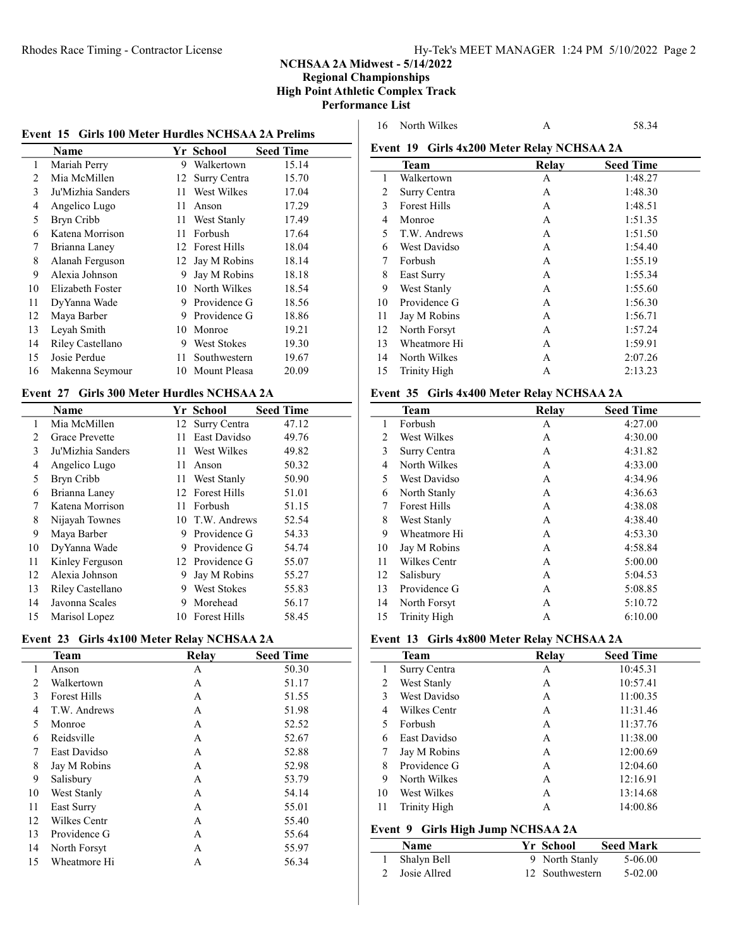# NCHSAA 2A Midwest - 5/14/2022

Regional Championships High Point Athletic Complex Track Performance List

| Event 15 Girls 100 Meter Hurdles NCHSAA 2A Prelims |                   |    |                     |                  |
|----------------------------------------------------|-------------------|----|---------------------|------------------|
|                                                    | Name              |    | Yr School           | <b>Seed Time</b> |
| 1                                                  | Mariah Perry      | 9  | Walkertown          | 15.14            |
| 2                                                  | Mia McMillen      | 12 | Surry Centra        | 15.70            |
| 3                                                  | Ju'Mizhia Sanders | 11 | West Wilkes         | 17.04            |
| 4                                                  | Angelico Lugo     | 11 | Anson               | 17.29            |
| 5                                                  | Bryn Cribb        | 11 | West Stanly         | 17.49            |
| 6                                                  | Katena Morrison   | 11 | Forbush             | 17.64            |
| 7                                                  | Brianna Laney     | 12 | <b>Forest Hills</b> | 18.04            |
| 8                                                  | Alanah Ferguson   | 12 | Jay M Robins        | 18.14            |
| 9                                                  | Alexia Johnson    | 9  | Jay M Robins        | 18.18            |
| 10                                                 | Elizabeth Foster  | 10 | North Wilkes        | 18.54            |
| 11                                                 | DyYanna Wade      | 9  | Providence G        | 18.56            |
| 12                                                 | Maya Barber       | 9  | Providence G        | 18.86            |
| 13                                                 | Leyah Smith       | 10 | Monroe              | 19.21            |
| 14                                                 | Riley Castellano  | 9  | West Stokes         | 19.30            |
| 15                                                 | Josie Perdue      | 11 | Southwestern        | 19.67            |

#### Event 27 Girls 300 Meter Hurdles NCHSAA 2A

Makenna Seymour 10 Mount Pleasa 20.09

|    | Name                  |     | Yr School           | <b>Seed Time</b> |
|----|-----------------------|-----|---------------------|------------------|
| 1  | Mia McMillen          |     | 12 Surry Centra     | 47.12            |
| 2  | <b>Grace Prevette</b> | 11  | East Davidso        | 49.76            |
| 3  | Ju'Mizhia Sanders     | 11  | West Wilkes         | 49.82            |
| 4  | Angelico Lugo         | 11  | Anson               | 50.32            |
| 5  | Bryn Cribb            | 11  | West Stanly         | 50.90            |
| 6  | Brianna Laney         |     | 12 Forest Hills     | 51.01            |
| 7  | Katena Morrison       | 11. | Forbush             | 51.15            |
| 8  | Nijayah Townes        | 10  | T.W. Andrews        | 52.54            |
| 9  | Maya Barber           | 9   | Providence G        | 54.33            |
| 10 | DyYanna Wade          | 9   | Providence G        | 54.74            |
| 11 | Kinley Ferguson       |     | 12 Providence G     | 55.07            |
| 12 | Alexia Johnson        | 9   | Jay M Robins        | 55.27            |
| 13 | Riley Castellano      | 9   | West Stokes         | 55.83            |
| 14 | Javonna Scales        | 9   | Morehead            | 56.17            |
| 15 | Marisol Lopez         | 10  | <b>Forest Hills</b> | 58.45            |

# Event 23 Girls 4x100 Meter Relay NCHSAA 2A

|    | <b>Team</b>         | Relay        | <b>Seed Time</b> |
|----|---------------------|--------------|------------------|
| 1  | Anson               | A            | 50.30            |
| 2  | Walkertown          | A            | 51.17            |
| 3  | <b>Forest Hills</b> | $\mathsf{A}$ | 51.55            |
| 4  | T.W. Andrews        | A            | 51.98            |
| 5  | Monroe              | А            | 52.52            |
| 6  | Reidsville          | $\mathsf{A}$ | 52.67            |
| 7  | East Davidso        | A            | 52.88            |
| 8  | Jay M Robins        | A            | 52.98            |
| 9  | Salisbury           | A            | 53.79            |
| 10 | West Stanly         | A            | 54.14            |
| 11 | East Surry          | A            | 55.01            |
| 12 | Wilkes Centr        | A            | 55.40            |
| 13 | Providence G        | A            | 55.64            |
| 14 | North Forsyt        | A            | 55.97            |
| 15 | Wheatmore Hi        | A            | 56.34            |

|    | Team                | Relay | <b>Seed Time</b> |
|----|---------------------|-------|------------------|
| 1  | Walkertown          | А     | 1:48.27          |
| 2  | Surry Centra        | A     | 1:48.30          |
| 3  | <b>Forest Hills</b> | A     | 1:48.51          |
| 4  | Monroe              | А     | 1:51.35          |
| 5  | T.W. Andrews        | А     | 1:51.50          |
| 6  | West Davidso        | А     | 1:54.40          |
| 7  | Forbush             | A     | 1:55.19          |
| 8  | East Surry          | A     | 1:55.34          |
| 9  | West Stanly         | A     | 1:55.60          |
| 10 | Providence G        | A     | 1:56.30          |
| 11 | Jay M Robins        | A     | 1:56.71          |
| 12 | North Forsyt        | A     | 1:57.24          |
| 13 | Wheatmore Hi        | A     | 1:59.91          |
| 14 | North Wilkes        | A     | 2:07.26          |
| 15 | Trinity High        | А     | 2:13.23          |

#### Event 35 Girls 4x400 Meter Relay NCHSAA 2A

|    | Team                | Relay | <b>Seed Time</b> |
|----|---------------------|-------|------------------|
| 1  | Forbush             | А     | 4:27.00          |
| 2  | West Wilkes         | А     | 4:30.00          |
| 3  | Surry Centra        | А     | 4:31.82          |
| 4  | North Wilkes        | A     | 4:33.00          |
| 5  | West Davidso        | A     | 4:34.96          |
| 6  | North Stanly        | A     | 4:36.63          |
| 7  | <b>Forest Hills</b> | A     | 4:38.08          |
| 8  | West Stanly         | A     | 4:38.40          |
| 9  | Wheatmore Hi        | A     | 4:53.30          |
| 10 | Jay M Robins        | A     | 4:58.84          |
| 11 | Wilkes Centr        | A     | 5:00.00          |
| 12 | Salisbury           | A     | 5:04.53          |
| 13 | Providence G        | A     | 5:08.85          |
| 14 | North Forsyt        | A     | 5:10.72          |
| 15 | Trinity High        | А     | 6:10.00          |

# Event 13 Girls 4x800 Meter Relay NCHSAA 2A

|    | <b>Team</b>                          | Relay     | <b>Seed Time</b> |  |  |  |
|----|--------------------------------------|-----------|------------------|--|--|--|
| 1  | Surry Centra                         | A         | 10:45.31         |  |  |  |
| 2  | West Stanly                          | A         | 10:57.41         |  |  |  |
| 3  | <b>West Davidso</b>                  | A         | 11:00.35         |  |  |  |
| 4  | Wilkes Centr                         | А         | 11:31.46         |  |  |  |
| 5  | Forbush                              | A         | 11:37.76         |  |  |  |
| 6  | East Davidso                         | А         | 11:38.00         |  |  |  |
| 7  | Jay M Robins                         | А         | 12:00.69         |  |  |  |
| 8  | Providence G                         | А         | 12:04.60         |  |  |  |
| 9  | North Wilkes                         | A         | 12:16.91         |  |  |  |
| 10 | West Wilkes                          | A         | 13:14.68         |  |  |  |
| 11 | Trinity High                         | A         | 14:00.86         |  |  |  |
|    | Girls High Jump NCHSAA 2A<br>Event 9 |           |                  |  |  |  |
|    | Name                                 | Yr School | <b>Seed Mark</b> |  |  |  |

| таше           | 11 Synope Securitative |         |
|----------------|------------------------|---------|
| 1 Shalyn Bell  | 9 North Stanly         | 5-06.00 |
| 2 Josie Allred | 12. Southwestern       | 5-02.00 |

16 North Wilkes A 58.34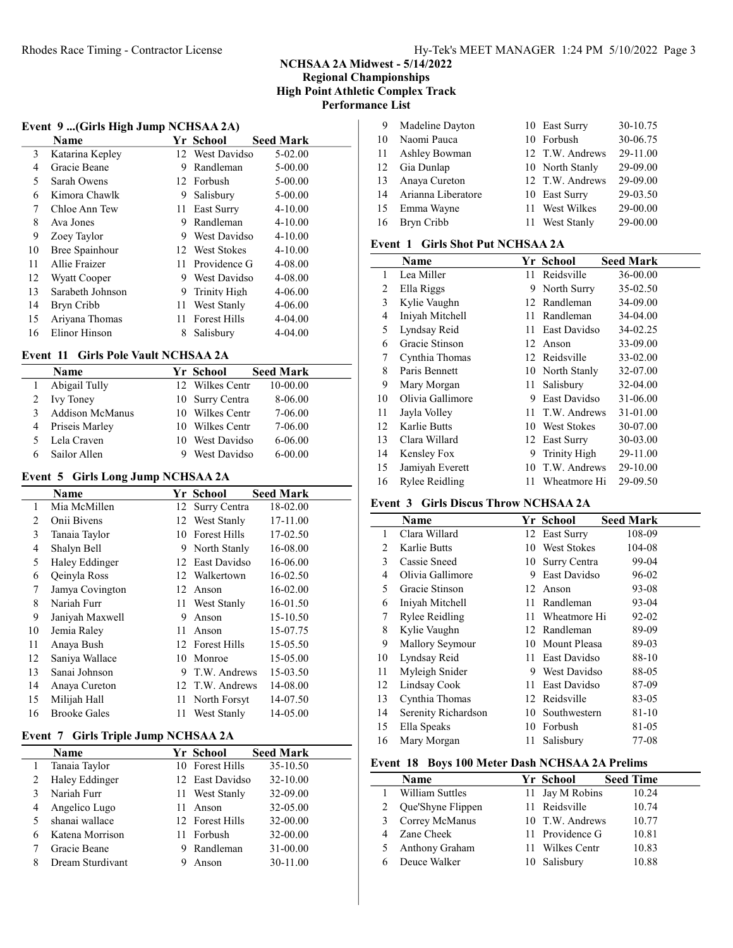### NCHSAA 2A Midwest - 5/14/2022 Regional Championships High Point Athletic Complex Track Performance List

### Event 9 ...(Girls High Jump NCHSAA 2A)

|    | $\cdot$<br>Name     |     | Yr School           | <b>Seed Mark</b> |
|----|---------------------|-----|---------------------|------------------|
| 3  | Katarina Kepley     |     | 12 West Davidso     | 5-02.00          |
| 4  | Gracie Beane        | 9   | Randleman           | 5-00.00          |
| 5  | Sarah Owens         |     | 12 Forbush          | 5-00.00          |
| 6  | Kimora Chawlk       | 9   | Salisbury           | 5-00.00          |
| 7  | Chloe Ann Tew       | 11  | East Surry          | $4 - 10.00$      |
| 8  | Ava Jones           | 9   | Randleman           | $4 - 10.00$      |
| 9  | Zoey Taylor         | 9   | West Davidso        | $4 - 10.00$      |
| 10 | Bree Spainhour      |     | 12 West Stokes      | $4 - 10.00$      |
| 11 | Allie Fraizer       |     | 11 Providence G     | 4-08.00          |
| 12 | <b>Wyatt Cooper</b> | 9   | West Davidso        | 4-08.00          |
| 13 | Sarabeth Johnson    | 9   | <b>Trinity High</b> | $4 - 06.00$      |
| 14 | Bryn Cribb          | 11  | West Stanly         | $4 - 06.00$      |
| 15 | Ariyana Thomas      | 11. | <b>Forest Hills</b> | $4 - 04.00$      |
| 16 | Elinor Hinson       | 8   | Salisbury           | $4 - 04.00$      |

# Event 11 Girls Pole Vault NCHSAA 2A

|   | Name            | Yr School       | <b>Seed Mark</b> |
|---|-----------------|-----------------|------------------|
|   | Abigail Tully   | 12 Wilkes Centr | 10-00.00         |
|   | 2 Ivy Toney     | 10 Surry Centra | 8-06.00          |
| 3 | Addison McManus | 10 Wilkes Centr | 7-06.00          |
| 4 | Priseis Marley  | 10 Wilkes Centr | 7-06.00          |
|   | 5 Lela Craven   | 10 West Davidso | $6 - 06.00$      |
|   | Sailor Allen    | West Davidso    | $6 - 00.00$      |

# Event 5 Girls Long Jump NCHSAA 2A

|    | Name                |    | Yr School           | <b>Seed Mark</b> |
|----|---------------------|----|---------------------|------------------|
| 1  | Mia McMillen        |    | 12 Surry Centra     | 18-02.00         |
| 2  | Onii Bivens         |    | 12 West Stanly      | 17-11.00         |
| 3  | Tanaia Taylor       | 10 | <b>Forest Hills</b> | 17-02.50         |
| 4  | Shalyn Bell         |    | 9 North Stanly      | 16-08.00         |
| 5  | Haley Eddinger      |    | 12 East Davidso     | 16-06.00         |
| 6  | Qeinyla Ross        |    | 12 Walkertown       | 16-02.50         |
| 7  | Jamya Covington     |    | 12 Anson            | 16-02.00         |
| 8  | Nariah Furr         | 11 | West Stanly         | 16-01.50         |
| 9  | Janiyah Maxwell     | 9  | Anson               | 15-10.50         |
| 10 | Jemia Raley         | 11 | Anson               | 15-07.75         |
| 11 | Anaya Bush          |    | 12 Forest Hills     | 15-05.50         |
| 12 | Saniya Wallace      | 10 | Monroe              | 15-05.00         |
| 13 | Sanai Johnson       | 9  | T.W. Andrews        | 15-03.50         |
| 14 | Anaya Cureton       |    | 12 T.W. Andrews     | 14-08.00         |
| 15 | Milijah Hall        | 11 | North Forsyt        | 14-07.50         |
| 16 | <b>Brooke Gales</b> | 11 | West Stanly         | 14-05.00         |

# Event 7 Girls Triple Jump NCHSAA 2A

|   | <b>Name</b>      |    | Yr School       | <b>Seed Mark</b> |
|---|------------------|----|-----------------|------------------|
|   | Tanaia Taylor    |    | 10 Forest Hills | 35-10.50         |
| 2 | Haley Eddinger   |    | 12 East Davidso | 32-10.00         |
| 3 | Nariah Furr      |    | 11 West Stanly  | 32-09.00         |
|   | Angelico Lugo    | 11 | Anson           | 32-05.00         |
|   | shanai wallace   |    | 12 Forest Hills | 32-00.00         |
| 6 | Katena Morrison  |    | 11 Forbush      | 32-00.00         |
|   | Gracie Beane     |    | Randleman       | 31-00.00         |
| 8 | Dream Sturdivant |    | Anson           | 30-11.00         |

| 9  | Madeline Dayton    | 10 East Surry   | 30-10.75 |
|----|--------------------|-----------------|----------|
| 10 | Naomi Pauca        | 10 Forbush      | 30-06.75 |
| 11 | Ashley Bowman      | 12 T.W. Andrews | 29-11.00 |
| 12 | Gia Dunlap         | 10 North Stanly | 29-09.00 |
| 13 | Anaya Cureton      | 12 T.W. Andrews | 29-09.00 |
| 14 | Arianna Liberatore | 10 East Surry   | 29-03.50 |
| 15 | Emma Wayne         | 11 West Wilkes  | 29-00.00 |
| 16 | Bryn Cribb         | 11 West Stanly  | 29-00.00 |
|    |                    |                 |          |

# Event 1 Girls Shot Put NCHSAA 2A

|    | <b>Name</b>           |     | Yr School       | <b>Seed Mark</b> |  |
|----|-----------------------|-----|-----------------|------------------|--|
| 1  | Lea Miller            | 11  | Reidsville      | 36-00.00         |  |
| 2  | Ella Riggs            | 9.  | North Surry     | 35-02.50         |  |
| 3  | Kylie Vaughn          | 12  | Randleman       | 34-09.00         |  |
| 4  | Iniyah Mitchell       | 11  | Randleman       | 34-04.00         |  |
| 5  | Lyndsay Reid          | 11. | East Davidso    | 34-02.25         |  |
| 6  | Gracie Stinson        | 12  | Anson           | 33-09.00         |  |
| 7  | Cynthia Thomas        |     | 12 Reidsville   | 33-02.00         |  |
| 8  | Paris Bennett         |     | 10 North Stanly | 32-07.00         |  |
| 9  | Mary Morgan           | 11  | Salisbury       | 32-04.00         |  |
| 10 | Olivia Gallimore      | 9   | East Davidso    | 31-06.00         |  |
| 11 | Jayla Volley          | 11  | T.W. Andrews    | 31-01.00         |  |
| 12 | Karlie Butts          |     | 10 West Stokes  | 30-07.00         |  |
| 13 | Clara Willard         |     | 12 East Surry   | 30-03.00         |  |
| 14 | Kensley Fox           | 9   | Trinity High    | 29-11.00         |  |
| 15 | Jamiyah Everett       | 10  | T.W. Andrews    | 29-10.00         |  |
| 16 | <b>Rylee Reidling</b> | 11. | Wheatmore Hi    | 29-09.50         |  |

# Event 3 Girls Discus Throw NCHSAA 2A

|    | Name                |     | Yr School     | <b>Seed Mark</b> |
|----|---------------------|-----|---------------|------------------|
| 1  | Clara Willard       |     | 12 East Surry | 108-09           |
| 2  | Karlie Butts        | 10  | West Stokes   | 104-08           |
| 3  | Cassie Sneed        | 10  | Surry Centra  | 99-04            |
| 4  | Olivia Gallimore    | 9   | East Davidso  | 96-02            |
| 5  | Gracie Stinson      | 12  | Anson         | 93-08            |
| 6  | Iniyah Mitchell     | 11. | Randleman     | 93-04            |
| 7  | Rylee Reidling      | 11. | Wheatmore Hi  | 92-02            |
| 8  | Kylie Vaughn        |     | 12 Randleman  | 89-09            |
| 9  | Mallory Seymour     | 10  | Mount Pleasa  | 89-03            |
| 10 | Lyndsay Reid        | 11  | East Davidso  | 88-10            |
| 11 | Myleigh Snider      | 9   | West Davidso  | 88-05            |
| 12 | Lindsay Cook        | 11  | East Davidso  | 87-09            |
| 13 | Cynthia Thomas      |     | 12 Reidsville | 83-05            |
| 14 | Serenity Richardson | 10  | Southwestern  | 81-10            |
| 15 | Ella Speaks         |     | 10 Forbush    | 81-05            |
| 16 | Mary Morgan         | 11  | Salisbury     | 77-08            |

## Event 18 Boys 100 Meter Dash NCHSAA 2A Prelims

|   | Name              | Yr School       | <b>Seed Time</b> |
|---|-------------------|-----------------|------------------|
|   | William Suttles   | 11 Jay M Robins | 10.24            |
|   | Que'Shyne Flippen | 11 Reidsville   | 10.74            |
| 3 | Correy McManus    | 10 T.W. Andrews | 10.77            |
| 4 | Zane Cheek        | 11 Providence G | 10.81            |
|   | Anthony Graham    | 11 Wilkes Centr | 10.83            |
|   | Deuce Walker      | 10 Salisbury    | 10.88            |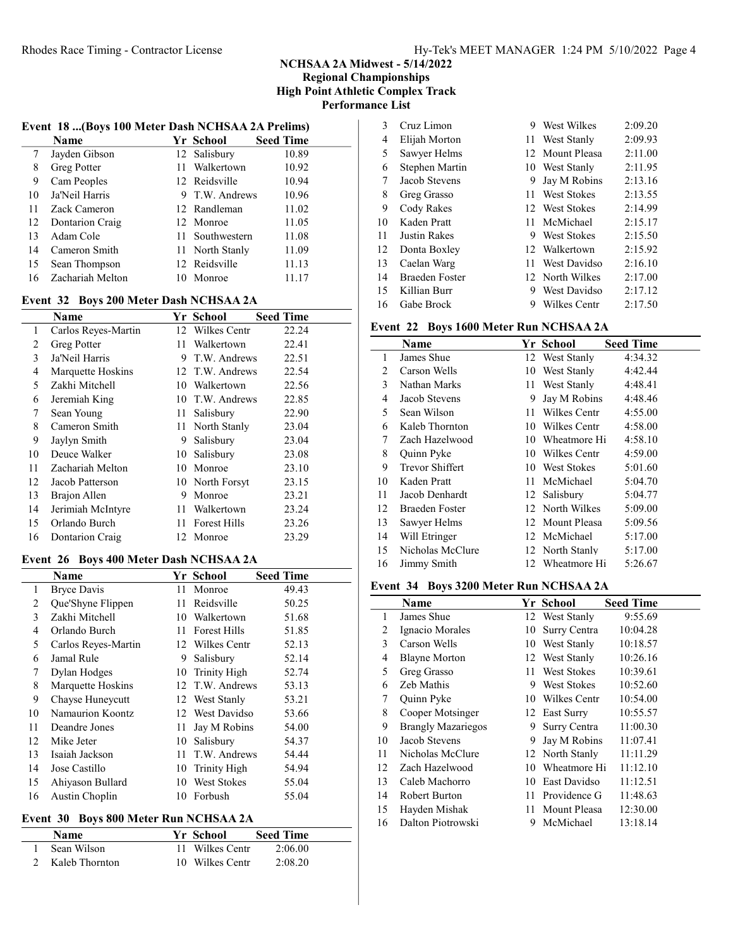# NCHSAA 2A Midwest - 5/14/2022 Regional Championships High Point Athletic Complex Track Performance List

#### Event 18 ...(Boys 100 Meter Dash NCHSAA 2A Prelims)

|    | Name             |    | Yr School       | <b>Seed Time</b> |
|----|------------------|----|-----------------|------------------|
| 7  | Jayden Gibson    |    | 12 Salisbury    | 10.89            |
| 8  | Greg Potter      |    | 11 Walkertown   | 10.92            |
| 9  | Cam Peoples      |    | 12 Reidsville   | 10.94            |
| 10 | Ja'Neil Harris   |    | 9 T.W. Andrews  | 10.96            |
| 11 | Zack Cameron     |    | 12 Randleman    | 11.02            |
| 12 | Dontarion Craig  |    | 12 Monroe       | 11.05            |
| 13 | Adam Cole        |    | 11 Southwestern | 11.08            |
| 14 | Cameron Smith    |    | 11 North Stanly | 11.09            |
| 15 | Sean Thompson    |    | 12 Reidsville   | 11.13            |
| 16 | Zachariah Melton | 10 | Monroe          | 11.17            |

# Event 32 Boys 200 Meter Dash NCHSAA 2A

|    | Name                |     | Yr School           | <b>Seed Time</b> |
|----|---------------------|-----|---------------------|------------------|
| 1  | Carlos Reyes-Martin | 12  | Wilkes Centr        | 22.24            |
| 2  | Greg Potter         | 11. | Walkertown          | 22.41            |
| 3  | Ja'Neil Harris      | 9   | T.W. Andrews        | 22.51            |
| 4  | Marquette Hoskins   |     | 12 T.W. Andrews     | 22.54            |
| 5  | Zakhi Mitchell      | 10  | Walkertown          | 22.56            |
| 6  | Jeremiah King       | 10  | T.W. Andrews        | 22.85            |
| 7  | Sean Young          | 11  | Salisbury           | 22.90            |
| 8  | Cameron Smith       |     | 11 North Stanly     | 23.04            |
| 9  | Jaylyn Smith        | 9   | Salisbury           | 23.04            |
| 10 | Deuce Walker        | 10  | Salisbury           | 23.08            |
| 11 | Zachariah Melton    | 10  | Monroe              | 23.10            |
| 12 | Jacob Patterson     |     | 10 North Forsyt     | 23.15            |
| 13 | Brajon Allen        | 9   | Monroe              | 23.21            |
| 14 | Jerimiah McIntyre   | 11. | Walkertown          | 23.24            |
| 15 | Orlando Burch       | 11. | <b>Forest Hills</b> | 23.26            |
| 16 | Dontarion Craig     |     | 12 Monroe           | 23.29            |

# Event 26 Boys 400 Meter Dash NCHSAA 2A

|    | <b>Name</b>         |    | Yr School           | <b>Seed Time</b> |
|----|---------------------|----|---------------------|------------------|
| 1  | <b>Bryce Davis</b>  | 11 | Monroe              | 49.43            |
| 2  | Que'Shyne Flippen   | 11 | Reidsville          | 50.25            |
| 3  | Zakhi Mitchell      | 10 | Walkertown          | 51.68            |
| 4  | Orlando Burch       | 11 | <b>Forest Hills</b> | 51.85            |
| 5  | Carlos Reyes-Martin |    | 12 Wilkes Centr     | 52.13            |
| 6  | Jamal Rule          | 9  | Salisbury           | 52.14            |
| 7  | Dylan Hodges        | 10 | Trinity High        | 52.74            |
| 8  | Marquette Hoskins   |    | 12 T.W. Andrews     | 53.13            |
| 9  | Chayse Huneycutt    |    | 12 West Stanly      | 53.21            |
| 10 | Namaurion Koontz    |    | 12 West Davidso     | 53.66            |
| 11 | Deandre Jones       | 11 | Jay M Robins        | 54.00            |
| 12 | Mike Jeter          | 10 | Salisbury           | 54.37            |
| 13 | Isaiah Jackson      | 11 | T.W. Andrews        | 54.44            |
| 14 | Jose Castillo       | 10 | Trinity High        | 54.94            |
| 15 | Ahiyason Bullard    | 10 | <b>West Stokes</b>  | 55.04            |
| 16 | Austin Choplin      | 10 | Forbush             | 55.04            |

# Event 30 Boys 800 Meter Run NCHSAA 2A

| <b>Name</b>      | Yr School       | <b>Seed Time</b> |  |
|------------------|-----------------|------------------|--|
| Sean Wilson      | 11 Wilkes Centr | 2:06.00          |  |
| 2 Kaleb Thornton | 10 Wilkes Centr | 2:08.20          |  |

| 3  | Cruz Limon            | 9   | West Wilkes        | 2:09.20 |
|----|-----------------------|-----|--------------------|---------|
| 4  | Elijah Morton         | 11. | West Stanly        | 2:09.93 |
| 5  | Sawyer Helms          |     | 12 Mount Pleasa    | 2:11.00 |
| 6  | Stephen Martin        |     | 10 West Stanly     | 2:11.95 |
| 7  | Jacob Stevens         | 9   | Jay M Robins       | 2:13.16 |
| 8  | Greg Grasso           | 11. | <b>West Stokes</b> | 2:13.55 |
| 9  | Cody Rakes            |     | 12 West Stokes     | 2:14.99 |
| 10 | Kaden Pratt           |     | 11 McMichael       | 2:15.17 |
| 11 | Justin Rakes          |     | 9 West Stokes      | 2:15.50 |
| 12 | Donta Boxley          |     | 12 Walkertown      | 2:15.92 |
| 13 | Caelan Warg           | 11. | West Davidso       | 2:16.10 |
| 14 | <b>Braeden Foster</b> |     | 12 North Wilkes    | 2:17.00 |
| 15 | Killian Burr          | 9   | West Davidso       | 2:17.12 |
| 16 | Gabe Brock            | 9   | Wilkes Centr       | 2:17.50 |

# Event 22 Boys 1600 Meter Run NCHSAA 2A

|    | Name                   |     | Yr School       | <b>Seed Time</b> |
|----|------------------------|-----|-----------------|------------------|
| 1  | James Shue             |     | 12 West Stanly  | 4:34.32          |
| 2  | Carson Wells           | 10  | West Stanly     | 4:42.44          |
| 3  | Nathan Marks           | 11  | West Stanly     | 4:48.41          |
| 4  | Jacob Stevens          | 9   | Jay M Robins    | 4:48.46          |
| 5  | Sean Wilson            | 11  | Wilkes Centr    | 4:55.00          |
| 6  | Kaleb Thornton         | 10  | Wilkes Centr    | 4:58.00          |
| 7  | Zach Hazelwood         | 10  | Wheatmore Hi    | 4:58.10          |
| 8  | Quinn Pyke             | 10  | Wilkes Centr    | 4:59.00          |
| 9  | <b>Trevor Shiffert</b> | 10  | West Stokes     | 5:01.60          |
| 10 | Kaden Pratt            | 11. | McMichael       | 5:04.70          |
| 11 | Jacob Denhardt         |     | 12 Salisbury    | 5:04.77          |
| 12 | Braeden Foster         |     | 12 North Wilkes | 5:09.00          |
| 13 | Sawyer Helms           |     | 12 Mount Pleasa | 5:09.56          |
| 14 | Will Etringer          |     | 12 McMichael    | 5:17.00          |
| 15 | Nicholas McClure       |     | 12 North Stanly | 5:17.00          |
| 16 | Jimmy Smith            |     | 12 Wheatmore Hi | 5:26.67          |

# Event 34 Boys 3200 Meter Run NCHSAA 2A

|    | Name                      |    | Yr School       | <b>Seed Time</b> |  |
|----|---------------------------|----|-----------------|------------------|--|
| 1  | James Shue                |    | 12 West Stanly  | 9:55.69          |  |
| 2  | Ignacio Morales           | 10 | Surry Centra    | 10:04.28         |  |
| 3  | Carson Wells              | 10 | West Stanly     | 10:18.57         |  |
| 4  | <b>Blayne Morton</b>      | 12 | West Stanly     | 10:26.16         |  |
| 5  | Greg Grasso               | 11 | West Stokes     | 10:39.61         |  |
| 6  | Zeb Mathis                | 9  | West Stokes     | 10:52.60         |  |
| 7  | Quinn Pyke                | 10 | Wilkes Centr    | 10:54.00         |  |
| 8  | Cooper Motsinger          |    | 12 East Surry   | 10:55.57         |  |
| 9  | <b>Brangly Mazariegos</b> | 9  | Surry Centra    | 11:00.30         |  |
| 10 | Jacob Stevens             | 9. | Jay M Robins    | 11:07.41         |  |
| 11 | Nicholas McClure          |    | 12 North Stanly | 11:11.29         |  |
| 12 | Zach Hazelwood            | 10 | Wheatmore Hi    | 11:12.10         |  |
| 13 | Caleb Machorro            | 10 | East Davidso    | 11:12.51         |  |
| 14 | Robert Burton             | 11 | Providence G    | 11:48.63         |  |
| 15 | Hayden Mishak             | 11 | Mount Pleasa    | 12:30.00         |  |
| 16 | Dalton Piotrowski         | 9  | McMichael       | 13:18.14         |  |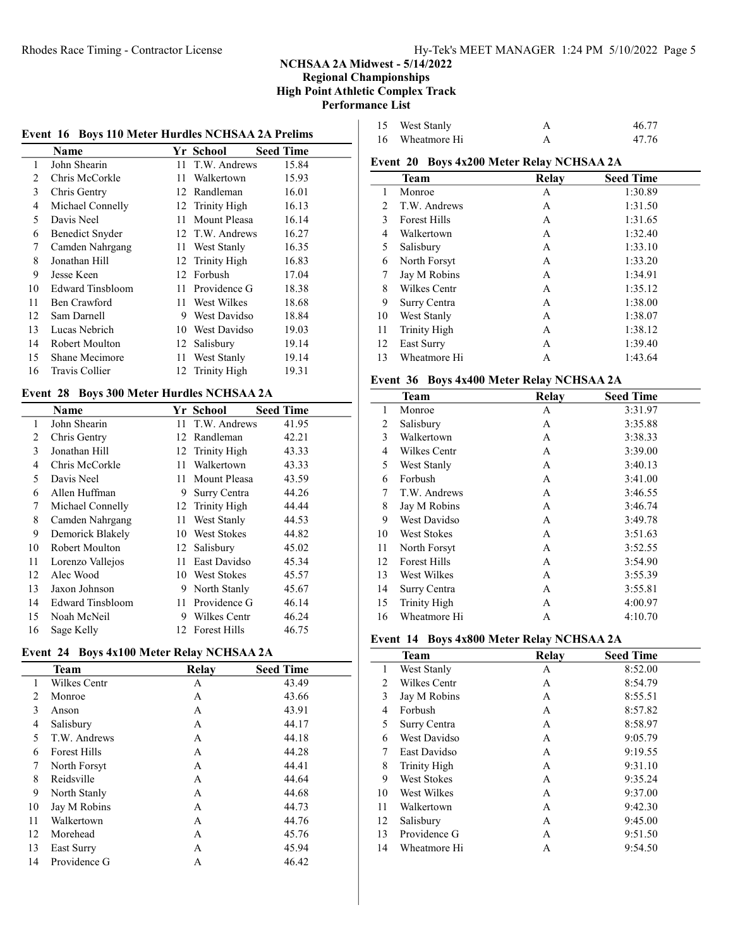# NCHSAA 2A Midwest - 5/14/2022

#### Regional Championships High Point Athletic Complex Track Performance List

## Event 16 Boys 110 Meter Hurdles NCHSAA 2A Prelims

|    | Name                   |    | Yr School       | <b>Seed Time</b> |
|----|------------------------|----|-----------------|------------------|
| 1  | John Shearin           | 11 | T.W. Andrews    | 15.84            |
| 2  | Chris McCorkle         | 11 | Walkertown      | 15.93            |
| 3  | Chris Gentry           | 12 | Randleman       | 16.01            |
| 4  | Michael Connelly       |    | 12 Trinity High | 16.13            |
| 5  | Davis Neel             | 11 | Mount Pleasa    | 16.14            |
| 6  | <b>Benedict Snyder</b> |    | 12 T.W. Andrews | 16.27            |
| 7  | Camden Nahrgang        | 11 | West Stanly     | 16.35            |
| 8  | Jonathan Hill          | 12 | Trinity High    | 16.83            |
| 9  | Jesse Keen             | 12 | Forbush         | 17.04            |
| 10 | Edward Tinsbloom       | 11 | Providence G    | 18.38            |
| 11 | Ben Crawford           | 11 | West Wilkes     | 18.68            |
| 12 | Sam Darnell            | 9  | West Davidso    | 18.84            |
| 13 | Lucas Nebrich          | 10 | West Davidso    | 19.03            |
| 14 | Robert Moulton         | 12 | Salisbury       | 19.14            |
| 15 | Shane Mecimore         | 11 | West Stanly     | 19.14            |
| 16 | Travis Collier         |    | 12 Trinity High | 19.31            |

## Event 28 Boys 300 Meter Hurdles NCHSAA 2A

|                | Name                    |     | Yr School           | <b>Seed Time</b> |
|----------------|-------------------------|-----|---------------------|------------------|
| 1              | John Shearin            | 11  | T.W. Andrews        | 41.95            |
| $\overline{c}$ | Chris Gentry            | 12  | Randleman           | 42.21            |
| 3              | Jonathan Hill           |     | 12 Trinity High     | 43.33            |
| 4              | Chris McCorkle          | 11  | Walkertown          | 43.33            |
| 5              | Davis Neel              | 11  | Mount Pleasa        | 43.59            |
| 6              | Allen Huffman           | 9   | Surry Centra        | 44.26            |
| 7              | Michael Connelly        |     | 12 Trinity High     | 44.44            |
| 8              | Camden Nahrgang         | 11  | West Stanly         | 44.53            |
| 9              | Demorick Blakely        | 10  | <b>West Stokes</b>  | 44.82            |
| 10             | Robert Moulton          | 12  | Salisbury           | 45.02            |
| 11             | Lorenzo Vallejos        | 11  | East Davidso        | 45.34            |
| 12             | Alec Wood               |     | 10 West Stokes      | 45.57            |
| 13             | Jaxon Johnson           | 9   | North Stanly        | 45.67            |
| 14             | <b>Edward Tinsbloom</b> | 11  | Providence G        | 46.14            |
| 15             | Noah McNeil             | 9   | Wilkes Centr        | 46.24            |
| 16             | Sage Kelly              | 12. | <b>Forest Hills</b> | 46.75            |

# Event 24 Boys 4x100 Meter Relay NCHSAA 2A

|    | <b>Team</b>         | Relay | <b>Seed Time</b> |
|----|---------------------|-------|------------------|
| 1  | <b>Wilkes Centr</b> | A     | 43.49            |
| 2  | Monroe              | A     | 43.66            |
| 3  | Anson               | A     | 43.91            |
| 4  | Salisbury           | A     | 44.17            |
| 5  | T.W. Andrews        | А     | 44.18            |
| 6  | <b>Forest Hills</b> | A     | 44.28            |
| 7  | North Forsyt        | А     | 44.41            |
| 8  | Reidsville          | A     | 44.64            |
| 9  | North Stanly        | А     | 44.68            |
| 10 | Jay M Robins        | A     | 44.73            |
| 11 | Walkertown          | А     | 44.76            |
| 12 | Morehead            | A     | 45.76            |
| 13 | East Surry          | A     | 45.94            |
| 14 | Providence G        | А     | 46.42            |

| 15 West Stanly  | 46.77 |
|-----------------|-------|
| 16 Wheatmore Hi | 47.76 |

# Event 20 Boys 4x200 Meter Relay NCHSAA 2A

|    | Team                | Relay | <b>Seed Time</b> |
|----|---------------------|-------|------------------|
| 1  | Monroe              | А     | 1:30.89          |
| 2  | T.W. Andrews        | А     | 1:31.50          |
| 3  | <b>Forest Hills</b> | A     | 1:31.65          |
| 4  | Walkertown          | А     | 1:32.40          |
| 5  | Salisbury           | A     | 1:33.10          |
| 6  | North Forsyt        | А     | 1:33.20          |
| 7  | Jay M Robins        | А     | 1:34.91          |
| 8  | Wilkes Centr        | A     | 1:35.12          |
| 9  | Surry Centra        | A     | 1:38.00          |
| 10 | West Stanly         | A     | 1:38.07          |
| 11 | Trinity High        | A     | 1:38.12          |
| 12 | East Surry          | A     | 1:39.40          |
| 13 | Wheatmore Hi        | A     | 1:43.64          |

## Event 36 Boys 4x400 Meter Relay NCHSAA 2A

|    | <b>Team</b>         | Relay | <b>Seed Time</b> |
|----|---------------------|-------|------------------|
| 1  | Monroe              | А     | 3:31.97          |
| 2  | Salisbury           | A     | 3:35.88          |
| 3  | Walkertown          | A     | 3:38.33          |
| 4  | Wilkes Centr        | A     | 3:39.00          |
| 5  | West Stanly         | A     | 3:40.13          |
| 6  | Forbush             | A     | 3:41.00          |
| 7  | T.W. Andrews        | A     | 3:46.55          |
| 8  | Jay M Robins        | A     | 3:46.74          |
| 9  | <b>West Davidso</b> | A     | 3:49.78          |
| 10 | West Stokes         | A     | 3:51.63          |
| 11 | North Forsyt        | A     | 3:52.55          |
| 12 | <b>Forest Hills</b> | A     | 3:54.90          |
| 13 | West Wilkes         | А     | 3:55.39          |
| 14 | Surry Centra        | A     | 3:55.81          |
| 15 | <b>Trinity High</b> | A     | 4:00.97          |
| 16 | Wheatmore Hi        | А     | 4:10.70          |

#### Event 14 Boys 4x800 Meter Relay NCHSAA 2A

|    | Team               | Relay | <b>Seed Time</b> |
|----|--------------------|-------|------------------|
| 1  | West Stanly        | А     | 8:52.00          |
| 2  | Wilkes Centr       | А     | 8:54.79          |
| 3  | Jay M Robins       | А     | 8:55.51          |
| 4  | Forbush            | А     | 8:57.82          |
| 5  | Surry Centra       | А     | 8:58.97          |
| 6  | West Davidso       | A     | 9:05.79          |
| 7  | East Davidso       | А     | 9:19.55          |
| 8  | Trinity High       | А     | 9:31.10          |
| 9  | <b>West Stokes</b> | А     | 9:35.24          |
| 10 | West Wilkes        | A     | 9:37.00          |
| 11 | Walkertown         | А     | 9:42.30          |
| 12 | Salisbury          | A     | 9:45.00          |
| 13 | Providence G       | А     | 9:51.50          |
| 14 | Wheatmore Hi       | А     | 9:54.50          |